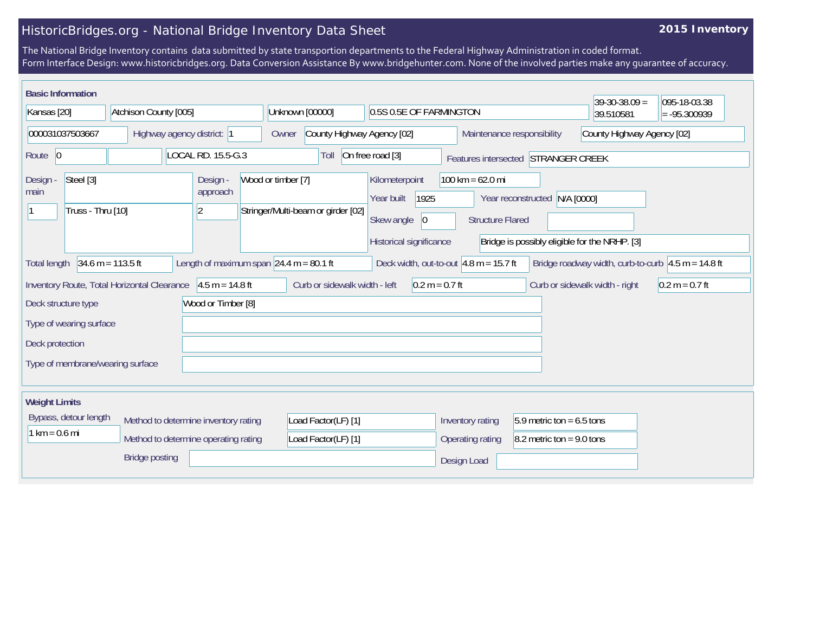## HistoricBridges.org - National Bridge Inventory Data Sheet

## **2015 Inventory**

The National Bridge Inventory contains data submitted by state transportion departments to the Federal Highway Administration in coded format. Form Interface Design: www.historicbridges.org. Data Conversion Assistance By www.bridgehunter.com. None of the involved parties make any guarantee of accuracy.

| <b>Basic Information</b>                      |                                             |                                           |                                    |                               |                                      |                                          |                                                          | $39-30-38.09 =$                                      | 095-18-03.38     |
|-----------------------------------------------|---------------------------------------------|-------------------------------------------|------------------------------------|-------------------------------|--------------------------------------|------------------------------------------|----------------------------------------------------------|------------------------------------------------------|------------------|
| Atchison County [005]<br>Kansas [20]          |                                             |                                           | Unknown [00000]                    |                               | 0.5S 0.5E OF FARMINGTON              |                                          |                                                          | 39.510581                                            | $= -95.300939$   |
| 000031037503667<br>Highway agency district: 1 |                                             |                                           | Owner                              | County Highway Agency [02]    |                                      |                                          | Maintenance responsibility<br>County Highway Agency [02] |                                                      |                  |
| Route 0                                       | LOCAL RD. 15.5-G.3                          |                                           |                                    | Toll                          | On free road [3]                     | Features intersected STRANGER CREEK      |                                                          |                                                      |                  |
| Steel [3]<br>Design -<br>main                 |                                             | Design -<br>approach                      | Wood or timber [7]                 |                               | Kilometerpoint<br>1925<br>Year built | $100 \text{ km} = 62.0 \text{ mi}$       | Year reconstructed N/A [0000]                            |                                                      |                  |
| Truss - Thru [10]                             |                                             | $\overline{2}$                            | Stringer/Multi-beam or girder [02] |                               | Skew angle<br> 0                     | <b>Structure Flared</b>                  |                                                          |                                                      |                  |
|                                               |                                             |                                           |                                    |                               | Historical significance              |                                          | Bridge is possibly eligible for the NRHP. [3]            |                                                      |                  |
| <b>Total length</b>                           | $34.6 m = 113.5 ft$                         | Length of maximum span $24.4$ m = 80.1 ft |                                    |                               |                                      | Deck width, out-to-out $4.8$ m = 15.7 ft |                                                          | Bridge roadway width, curb-to-curb $4.5 m = 14.8 ft$ |                  |
|                                               | Inventory Route, Total Horizontal Clearance | $4.5 m = 14.8 ft$                         |                                    | Curb or sidewalk width - left | $0.2 m = 0.7 ft$                     |                                          |                                                          | Curb or sidewalk width - right                       | $0.2 m = 0.7 ft$ |
| Deck structure type                           |                                             | Wood or Timber [8]                        |                                    |                               |                                      |                                          |                                                          |                                                      |                  |
| Type of wearing surface                       |                                             |                                           |                                    |                               |                                      |                                          |                                                          |                                                      |                  |
| Deck protection                               |                                             |                                           |                                    |                               |                                      |                                          |                                                          |                                                      |                  |
| Type of membrane/wearing surface              |                                             |                                           |                                    |                               |                                      |                                          |                                                          |                                                      |                  |
|                                               |                                             |                                           |                                    |                               |                                      |                                          |                                                          |                                                      |                  |
| <b>Weight Limits</b>                          |                                             |                                           |                                    |                               |                                      |                                          |                                                          |                                                      |                  |
| Bypass, detour length                         | Method to determine inventory rating        |                                           |                                    | Load Factor(LF) [1]           |                                      | Inventory rating                         | $5.9$ metric ton = 6.5 tons                              |                                                      |                  |
| $1 km = 0.6 mi$                               | Method to determine operating rating        |                                           |                                    | Load Factor(LF) [1]           |                                      | Operating rating                         | $8.2$ metric ton = 9.0 tons                              |                                                      |                  |
|                                               | <b>Bridge posting</b>                       |                                           |                                    |                               |                                      | Design Load                              |                                                          |                                                      |                  |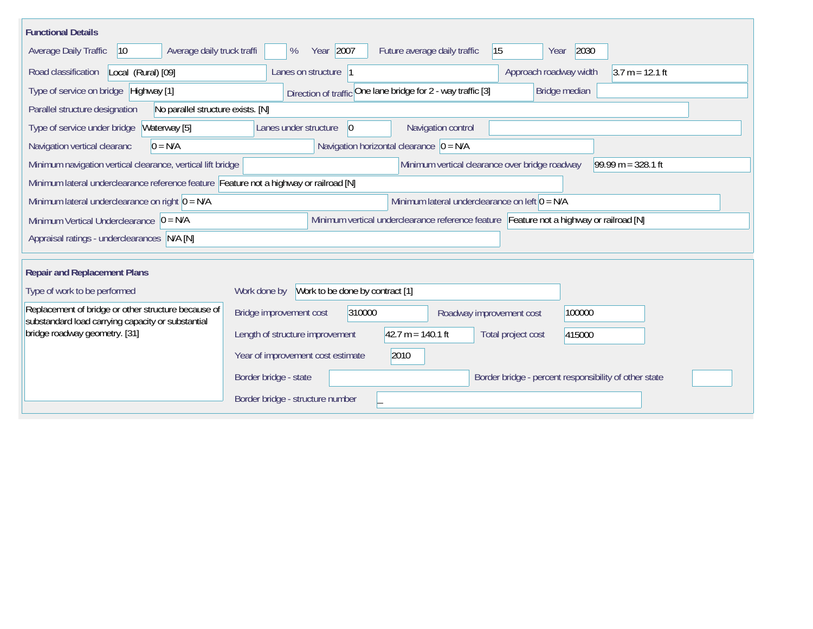| <b>Functional Details</b>                                                                                |                                                                                         |  |  |
|----------------------------------------------------------------------------------------------------------|-----------------------------------------------------------------------------------------|--|--|
| Average daily truck traffi<br><b>Average Daily Traffic</b><br>$ 10\rangle$                               | Year 2007<br>15<br>2030<br>%<br>Future average daily traffic<br>Year                    |  |  |
| Road classification<br>Local (Rural) [09]                                                                | Lanes on structure 1<br>Approach roadway width<br>$3.7 m = 12.1 ft$                     |  |  |
| Type of service on bridge Highway [1]                                                                    | Direction of traffic One lane bridge for 2 - way traffic [3]<br>Bridge median           |  |  |
| No parallel structure exists. [N]<br>Parallel structure designation                                      |                                                                                         |  |  |
| Type of service under bridge<br>Waterway [5]                                                             | Navigation control<br>Lanes under structure<br>$ 0\rangle$                              |  |  |
| $0 = N/A$<br>Navigation vertical clearanc                                                                | Navigation horizontal clearance $ 0 = N/A $                                             |  |  |
| Minimum navigation vertical clearance, vertical lift bridge                                              | $99.99 m = 328.1 ft$<br>Minimum vertical clearance over bridge roadway                  |  |  |
| Minimum lateral underclearance reference feature Feature not a highway or railroad [N]                   |                                                                                         |  |  |
| Minimum lateral underclearance on right $0 = N/A$                                                        | Minimum lateral underclearance on left $0 = N/A$                                        |  |  |
| Minimum Vertical Underclearance $ 0 = N/A$                                                               | Minimum vertical underclearance reference feature Feature not a highway or railroad [N] |  |  |
| Appraisal ratings - underclearances N/A [N]                                                              |                                                                                         |  |  |
|                                                                                                          |                                                                                         |  |  |
| <b>Repair and Replacement Plans</b>                                                                      |                                                                                         |  |  |
| Type of work to be performed                                                                             | Work to be done by contract [1]<br>Work done by                                         |  |  |
| Replacement of bridge or other structure because of<br>substandard load carrying capacity or substantial | Bridge improvement cost<br>310000<br>100000<br>Roadway improvement cost                 |  |  |
| bridge roadway geometry. [31]                                                                            | $42.7 m = 140.1 ft$<br>Length of structure improvement<br>Total project cost<br>415000  |  |  |
|                                                                                                          | Year of improvement cost estimate<br>2010                                               |  |  |
|                                                                                                          | Border bridge - state<br>Border bridge - percent responsibility of other state          |  |  |
|                                                                                                          | Border bridge - structure number                                                        |  |  |